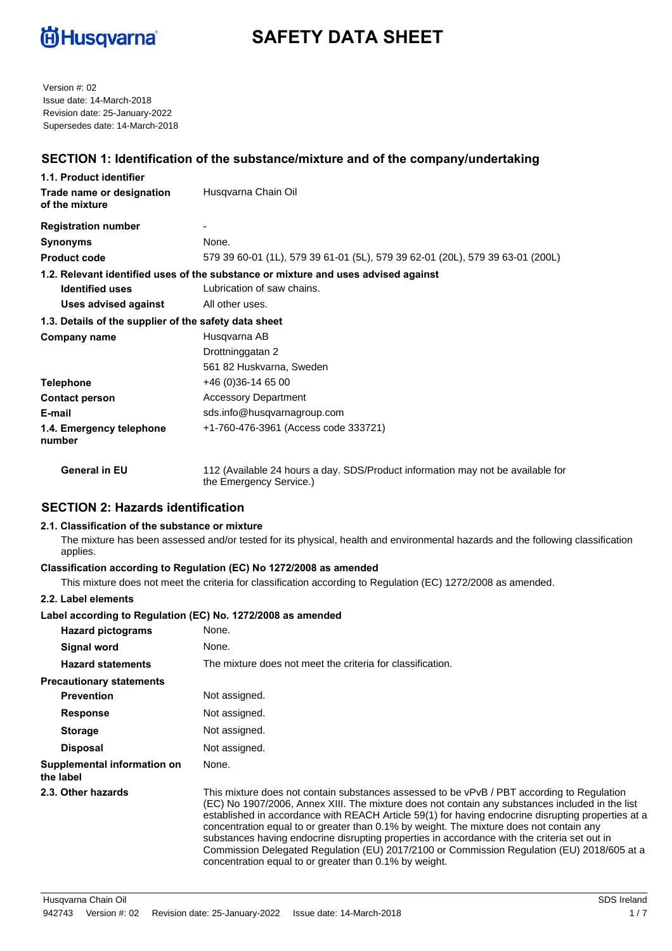

# **SAFETY DATA SHEET**

Version #: 02 Issue date: 14-March-2018 Revision date: 25-January-2022 Supersedes date: 14-March-2018

# **SECTION 1: Identification of the substance/mixture and of the company/undertaking**

| 1.1. Product identifier                               |                                                                                    |
|-------------------------------------------------------|------------------------------------------------------------------------------------|
| Trade name or designation<br>of the mixture           | Husqvarna Chain Oil                                                                |
| <b>Registration number</b>                            |                                                                                    |
| <b>Synonyms</b>                                       | None.                                                                              |
| <b>Product code</b>                                   | 579 39 60-01 (1L), 579 39 61-01 (5L), 579 39 62-01 (20L), 579 39 63-01 (200L)      |
|                                                       | 1.2. Relevant identified uses of the substance or mixture and uses advised against |
| Lubrication of saw chains.<br><b>Identified uses</b>  |                                                                                    |
| <b>Uses advised against</b>                           | All other uses.                                                                    |
| 1.3. Details of the supplier of the safety data sheet |                                                                                    |
| Company name                                          | Husqvarna AB                                                                       |
|                                                       | Drottninggatan 2                                                                   |
|                                                       | 561 82 Huskvarna, Sweden                                                           |
| <b>Telephone</b>                                      | $+46(0)36-146500$                                                                  |
| <b>Contact person</b>                                 | <b>Accessory Department</b>                                                        |
| E-mail                                                | sds.info@husqvarnagroup.com                                                        |
| 1.4. Emergency telephone<br>number                    | +1-760-476-3961 (Access code 333721)                                               |
| <b>General in EU</b>                                  | 112 (Available 24 hours a day. SDS/Product information may not be available for    |

#### **SECTION 2: Hazards identification**

#### **2.1. Classification of the substance or mixture**

The mixture has been assessed and/or tested for its physical, health and environmental hazards and the following classification applies.

#### **Classification according to Regulation (EC) No 1272/2008 as amended**

the Emergency Service.)

This mixture does not meet the criteria for classification according to Regulation (EC) 1272/2008 as amended.

#### **2.2. Label elements**

#### **Label according to Regulation (EC) No. 1272/2008 as amended**

| <b>Hazard pictograms</b>                 | None.                                                                                                                                                                                                                                                                                                                                                                                                                                                                                                                                                                                                                                                  |
|------------------------------------------|--------------------------------------------------------------------------------------------------------------------------------------------------------------------------------------------------------------------------------------------------------------------------------------------------------------------------------------------------------------------------------------------------------------------------------------------------------------------------------------------------------------------------------------------------------------------------------------------------------------------------------------------------------|
| Signal word                              | None.                                                                                                                                                                                                                                                                                                                                                                                                                                                                                                                                                                                                                                                  |
| <b>Hazard statements</b>                 | The mixture does not meet the criteria for classification.                                                                                                                                                                                                                                                                                                                                                                                                                                                                                                                                                                                             |
| <b>Precautionary statements</b>          |                                                                                                                                                                                                                                                                                                                                                                                                                                                                                                                                                                                                                                                        |
| <b>Prevention</b>                        | Not assigned.                                                                                                                                                                                                                                                                                                                                                                                                                                                                                                                                                                                                                                          |
| <b>Response</b>                          | Not assigned.                                                                                                                                                                                                                                                                                                                                                                                                                                                                                                                                                                                                                                          |
| <b>Storage</b>                           | Not assigned.                                                                                                                                                                                                                                                                                                                                                                                                                                                                                                                                                                                                                                          |
| <b>Disposal</b>                          | Not assigned.                                                                                                                                                                                                                                                                                                                                                                                                                                                                                                                                                                                                                                          |
| Supplemental information on<br>the label | None.                                                                                                                                                                                                                                                                                                                                                                                                                                                                                                                                                                                                                                                  |
| 2.3. Other hazards                       | This mixture does not contain substances assessed to be vPvB / PBT according to Regulation<br>(EC) No 1907/2006, Annex XIII. The mixture does not contain any substances included in the list<br>established in accordance with REACH Article 59(1) for having endocrine disrupting properties at a<br>concentration equal to or greater than 0.1% by weight. The mixture does not contain any<br>substances having endocrine disrupting properties in accordance with the criteria set out in<br>Commission Delegated Regulation (EU) 2017/2100 or Commission Regulation (EU) 2018/605 at a<br>concentration equal to or greater than 0.1% by weight. |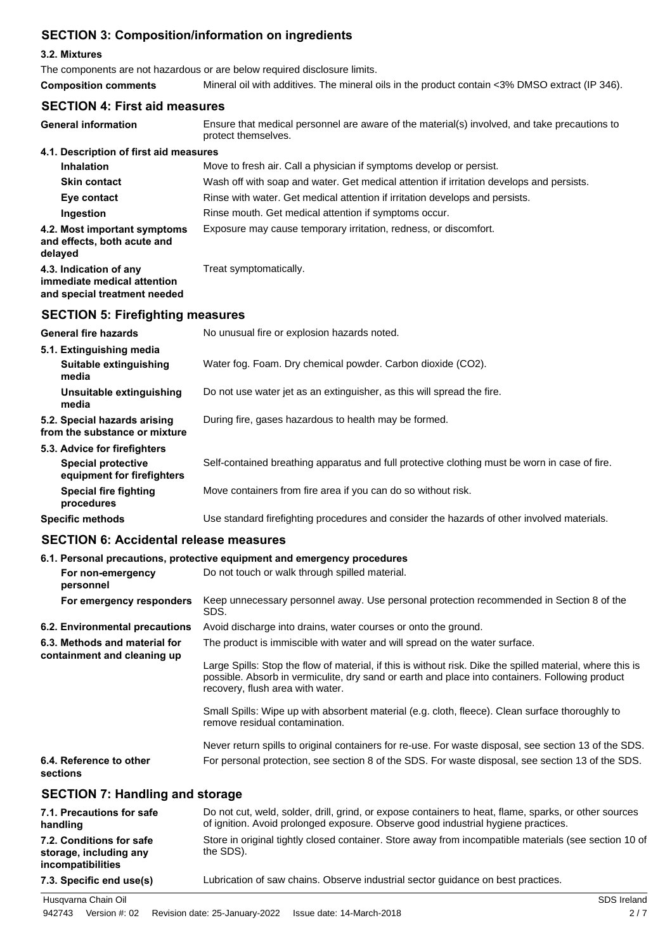# **SECTION 3: Composition/information on ingredients**

#### **3.2. Mixtures**

The components are not hazardous or are below required disclosure limits.

| <b>Composition comments</b> |  | Mineral oil with additives. The mineral oils in the product contain <3% DMSO extract (IP 346). |  |
|-----------------------------|--|------------------------------------------------------------------------------------------------|--|
|-----------------------------|--|------------------------------------------------------------------------------------------------|--|

# **SECTION 4: First aid measures**

| <b>General information</b>                                                            | Ensure that medical personnel are aware of the material(s) involved, and take precautions to<br>protect themselves. |
|---------------------------------------------------------------------------------------|---------------------------------------------------------------------------------------------------------------------|
| 4.1. Description of first aid measures                                                |                                                                                                                     |
| <b>Inhalation</b>                                                                     | Move to fresh air. Call a physician if symptoms develop or persist.                                                 |
| <b>Skin contact</b>                                                                   | Wash off with soap and water. Get medical attention if irritation develops and persists.                            |
| Eye contact                                                                           | Rinse with water. Get medical attention if irritation develops and persists.                                        |
| Ingestion                                                                             | Rinse mouth. Get medical attention if symptoms occur.                                                               |
| 4.2. Most important symptoms<br>and effects, both acute and<br>delaved                | Exposure may cause temporary irritation, redness, or discomfort.                                                    |
| 4.3. Indication of any<br>immediate medical attention<br>and special treatment needed | Treat symptomatically.                                                                                              |
|                                                                                       |                                                                                                                     |

# **SECTION 5: Firefighting measures**

| <b>General fire hazards</b>                                   | No unusual fire or explosion hazards noted.                                                   |
|---------------------------------------------------------------|-----------------------------------------------------------------------------------------------|
| 5.1. Extinguishing media                                      |                                                                                               |
| Suitable extinguishing<br>media                               | Water fog. Foam. Dry chemical powder. Carbon dioxide (CO2).                                   |
| Unsuitable extinguishing<br>media                             | Do not use water jet as an extinguisher, as this will spread the fire.                        |
| 5.2. Special hazards arising<br>from the substance or mixture | During fire, gases hazardous to health may be formed.                                         |
| 5.3. Advice for firefighters                                  |                                                                                               |
| <b>Special protective</b><br>equipment for firefighters       | Self-contained breathing apparatus and full protective clothing must be worn in case of fire. |
| <b>Special fire fighting</b><br>procedures                    | Move containers from fire area if you can do so without risk.                                 |
| <b>Specific methods</b>                                       | Use standard firefighting procedures and consider the hazards of other involved materials.    |

## **SECTION 6: Accidental release measures**

#### **6.1. Personal precautions, protective equipment and emergency procedures**

| For non-emergency<br>personnel                               | Do not touch or walk through spilled material.                                                                                                                                                                                                    |
|--------------------------------------------------------------|---------------------------------------------------------------------------------------------------------------------------------------------------------------------------------------------------------------------------------------------------|
| For emergency responders                                     | Keep unnecessary personnel away. Use personal protection recommended in Section 8 of the<br>SDS.                                                                                                                                                  |
| 6.2. Environmental precautions                               | Avoid discharge into drains, water courses or onto the ground.                                                                                                                                                                                    |
| 6.3. Methods and material for<br>containment and cleaning up | The product is immiscible with water and will spread on the water surface.                                                                                                                                                                        |
|                                                              | Large Spills: Stop the flow of material, if this is without risk. Dike the spilled material, where this is<br>possible. Absorb in vermiculite, dry sand or earth and place into containers. Following product<br>recovery, flush area with water. |
|                                                              | Small Spills: Wipe up with absorbent material (e.g. cloth, fleece). Clean surface thoroughly to<br>remove residual contamination.                                                                                                                 |
|                                                              | Never return spills to original containers for re-use. For waste disposal, see section 13 of the SDS.                                                                                                                                             |
| 6.4. Reference to other<br>sections                          | For personal protection, see section 8 of the SDS. For waste disposal, see section 13 of the SDS.                                                                                                                                                 |
|                                                              |                                                                                                                                                                                                                                                   |

# **SECTION 7: Handling and storage**

| 7.1. Precautions for safe<br>handling                                   | Do not cut, weld, solder, drill, grind, or expose containers to heat, flame, sparks, or other sources<br>of ignition. Avoid prolonged exposure. Observe good industrial hygiene practices. |
|-------------------------------------------------------------------------|--------------------------------------------------------------------------------------------------------------------------------------------------------------------------------------------|
| 7.2. Conditions for safe<br>storage, including any<br>incompatibilities | Store in original tightly closed container. Store away from incompatible materials (see section 10 of<br>the SDS).                                                                         |
| 7.3. Specific end use(s)                                                | Lubrication of saw chains. Observe industrial sector guidance on best practices.                                                                                                           |
| Husqvarna Chain Oil                                                     | SDS Ireland                                                                                                                                                                                |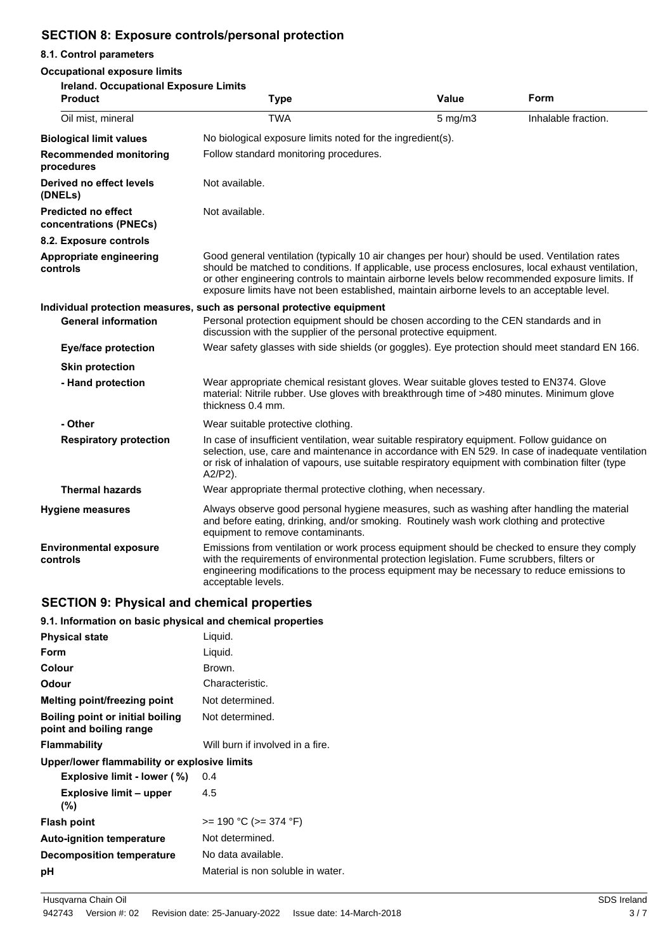# **SECTION 8: Exposure controls/personal protection**

#### **8.1. Control parameters**

#### **Occupational exposure limits**

| Occupational exposure illinis<br>Ireland. Occupational Exposure Limits |                                                                                                                                                                                                                                                                                                                                                                                                        |              |                     |
|------------------------------------------------------------------------|--------------------------------------------------------------------------------------------------------------------------------------------------------------------------------------------------------------------------------------------------------------------------------------------------------------------------------------------------------------------------------------------------------|--------------|---------------------|
| <b>Product</b>                                                         | <b>Type</b>                                                                                                                                                                                                                                                                                                                                                                                            | Value        | Form                |
| Oil mist, mineral                                                      | <b>TWA</b>                                                                                                                                                                                                                                                                                                                                                                                             | $5$ mg/m $3$ | Inhalable fraction. |
| <b>Biological limit values</b>                                         | No biological exposure limits noted for the ingredient(s).                                                                                                                                                                                                                                                                                                                                             |              |                     |
| <b>Recommended monitoring</b><br>procedures                            | Follow standard monitoring procedures.                                                                                                                                                                                                                                                                                                                                                                 |              |                     |
| Derived no effect levels<br>(DNELs)                                    | Not available.                                                                                                                                                                                                                                                                                                                                                                                         |              |                     |
| <b>Predicted no effect</b><br>concentrations (PNECs)                   | Not available.                                                                                                                                                                                                                                                                                                                                                                                         |              |                     |
| 8.2. Exposure controls                                                 |                                                                                                                                                                                                                                                                                                                                                                                                        |              |                     |
| Appropriate engineering<br>controls                                    | Good general ventilation (typically 10 air changes per hour) should be used. Ventilation rates<br>should be matched to conditions. If applicable, use process enclosures, local exhaust ventilation,<br>or other engineering controls to maintain airborne levels below recommended exposure limits. If<br>exposure limits have not been established, maintain airborne levels to an acceptable level. |              |                     |
|                                                                        | Individual protection measures, such as personal protective equipment                                                                                                                                                                                                                                                                                                                                  |              |                     |
| <b>General information</b>                                             | Personal protection equipment should be chosen according to the CEN standards and in<br>discussion with the supplier of the personal protective equipment.                                                                                                                                                                                                                                             |              |                     |
| <b>Eye/face protection</b>                                             | Wear safety glasses with side shields (or goggles). Eye protection should meet standard EN 166.                                                                                                                                                                                                                                                                                                        |              |                     |
| <b>Skin protection</b>                                                 |                                                                                                                                                                                                                                                                                                                                                                                                        |              |                     |
| - Hand protection                                                      | Wear appropriate chemical resistant gloves. Wear suitable gloves tested to EN374. Glove<br>material: Nitrile rubber. Use gloves with breakthrough time of >480 minutes. Minimum glove<br>thickness 0.4 mm.                                                                                                                                                                                             |              |                     |
| - Other                                                                | Wear suitable protective clothing.                                                                                                                                                                                                                                                                                                                                                                     |              |                     |
| <b>Respiratory protection</b>                                          | In case of insufficient ventilation, wear suitable respiratory equipment. Follow guidance on<br>selection, use, care and maintenance in accordance with EN 529. In case of inadequate ventilation<br>or risk of inhalation of vapours, use suitable respiratory equipment with combination filter (type<br>A2/P2).                                                                                     |              |                     |
| <b>Thermal hazards</b>                                                 | Wear appropriate thermal protective clothing, when necessary.                                                                                                                                                                                                                                                                                                                                          |              |                     |
| <b>Hygiene measures</b>                                                | Always observe good personal hygiene measures, such as washing after handling the material<br>and before eating, drinking, and/or smoking. Routinely wash work clothing and protective<br>equipment to remove contaminants.                                                                                                                                                                            |              |                     |
| <b>Environmental exposure</b><br>controls                              | Emissions from ventilation or work process equipment should be checked to ensure they comply<br>with the requirements of environmental protection legislation. Fume scrubbers, filters or<br>engineering modifications to the process equipment may be necessary to reduce emissions to<br>acceptable levels.                                                                                          |              |                     |

# **SECTION 9: Physical and chemical properties**

#### **9.1. Information on basic physical and chemical properties**

| <b>Physical state</b>                                       | Liquid.                           |
|-------------------------------------------------------------|-----------------------------------|
| Form                                                        | Liquid.                           |
| Colour                                                      | Brown.                            |
| Odour                                                       | Characteristic.                   |
| Melting point/freezing point                                | Not determined.                   |
| Boiling point or initial boiling<br>point and boiling range | Not determined.                   |
| <b>Flammability</b>                                         | Will burn if involved in a fire.  |
| Upper/lower flammability or explosive limits                |                                   |
| <b>Explosive limit - lower (%)</b>                          | 0.4                               |
| <b>Explosive limit - upper</b><br>$(\% )$                   | 4.5                               |
| <b>Flash point</b>                                          | >= 190 °C (>= 374 °F)             |
| <b>Auto-ignition temperature</b>                            | Not determined.                   |
| <b>Decomposition temperature</b>                            | No data available.                |
| рH                                                          | Material is non soluble in water. |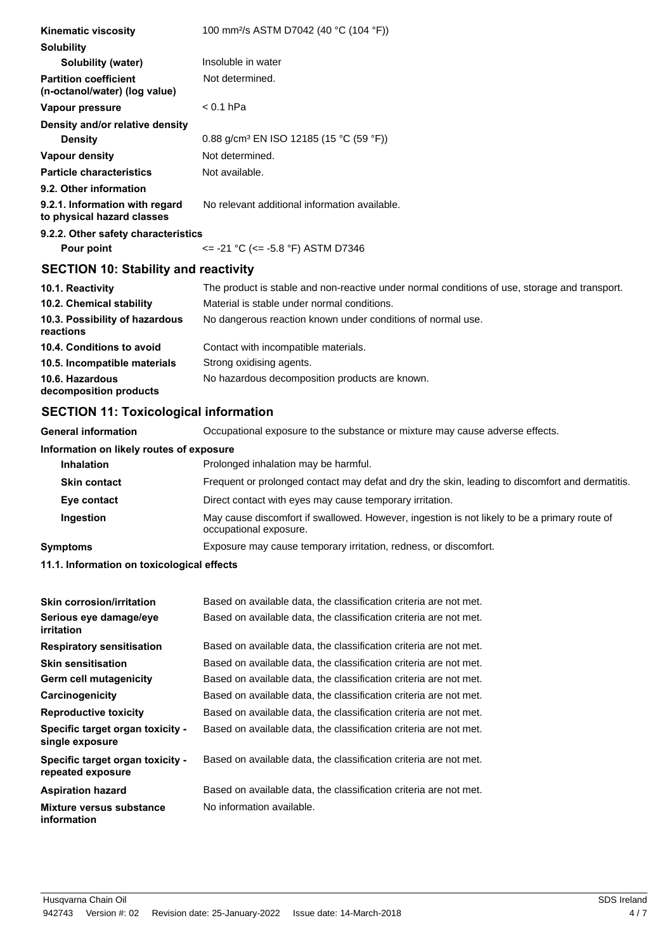| <b>Kinematic viscosity</b>                                    | 100 mm <sup>2</sup> /s ASTM D7042 (40 °C (104 °F))                                            |  |  |
|---------------------------------------------------------------|-----------------------------------------------------------------------------------------------|--|--|
| <b>Solubility</b>                                             |                                                                                               |  |  |
| Solubility (water)                                            | Insoluble in water                                                                            |  |  |
| <b>Partition coefficient</b><br>(n-octanol/water) (log value) | Not determined.                                                                               |  |  |
| Vapour pressure                                               | $< 0.1$ hPa                                                                                   |  |  |
| Density and/or relative density                               |                                                                                               |  |  |
| <b>Density</b>                                                | 0.88 g/cm <sup>3</sup> EN ISO 12185 (15 °C (59 °F))                                           |  |  |
| Vapour density                                                | Not determined.                                                                               |  |  |
| <b>Particle characteristics</b>                               | Not available.                                                                                |  |  |
| 9.2. Other information                                        |                                                                                               |  |  |
| 9.2.1. Information with regard<br>to physical hazard classes  | No relevant additional information available.                                                 |  |  |
| 9.2.2. Other safety characteristics                           |                                                                                               |  |  |
| Pour point                                                    | $\epsilon$ = -21 °C ( $\epsilon$ = -5.8 °F) ASTM D7346                                        |  |  |
| <b>SECTION 10: Stability and reactivity</b>                   |                                                                                               |  |  |
| 10.1. Reactivity                                              | The product is stable and non-reactive under normal conditions of use, storage and transport. |  |  |
| 10.2. Chemical stability                                      | Material is stable under normal conditions.                                                   |  |  |
| 10.3. Possibility of hazardous<br>reactions                   | No dangerous reaction known under conditions of normal use.                                   |  |  |
| 10.4. Conditions to avoid                                     | Contact with incompatible materials.                                                          |  |  |
| 10.5. Incompatible materials                                  | Strong oxidising agents.                                                                      |  |  |
| 10.6. Hazardous<br>decomposition products                     | No hazardous decomposition products are known.                                                |  |  |
| <b>SECTION 11: Toxicological information</b>                  |                                                                                               |  |  |

**General information** Occupational exposure to the substance or mixture may cause adverse effects.

# **Information on likely routes of exposure**

| <b>Inhalation</b>   | Prolonged inhalation may be harmful.                                                                                   |
|---------------------|------------------------------------------------------------------------------------------------------------------------|
| <b>Skin contact</b> | Frequent or prolonged contact may defat and dry the skin, leading to discomfort and dermatitis.                        |
| Eye contact         | Direct contact with eyes may cause temporary irritation.                                                               |
| Ingestion           | May cause discomfort if swallowed. However, ingestion is not likely to be a primary route of<br>occupational exposure. |
| Symptoms            | Exposure may cause temporary irritation, redness, or discomfort.                                                       |
|                     |                                                                                                                        |

**11.1. Information on toxicological effects**

| <b>Skin corrosion/irritation</b>                      | Based on available data, the classification criteria are not met. |
|-------------------------------------------------------|-------------------------------------------------------------------|
| Serious eye damage/eye<br>irritation                  | Based on available data, the classification criteria are not met. |
| <b>Respiratory sensitisation</b>                      | Based on available data, the classification criteria are not met. |
| <b>Skin sensitisation</b>                             | Based on available data, the classification criteria are not met. |
| <b>Germ cell mutagenicity</b>                         | Based on available data, the classification criteria are not met. |
| Carcinogenicity                                       | Based on available data, the classification criteria are not met. |
| <b>Reproductive toxicity</b>                          | Based on available data, the classification criteria are not met. |
| Specific target organ toxicity -<br>single exposure   | Based on available data, the classification criteria are not met. |
| Specific target organ toxicity -<br>repeated exposure | Based on available data, the classification criteria are not met. |
| <b>Aspiration hazard</b>                              | Based on available data, the classification criteria are not met. |
| Mixture versus substance<br>information               | No information available.                                         |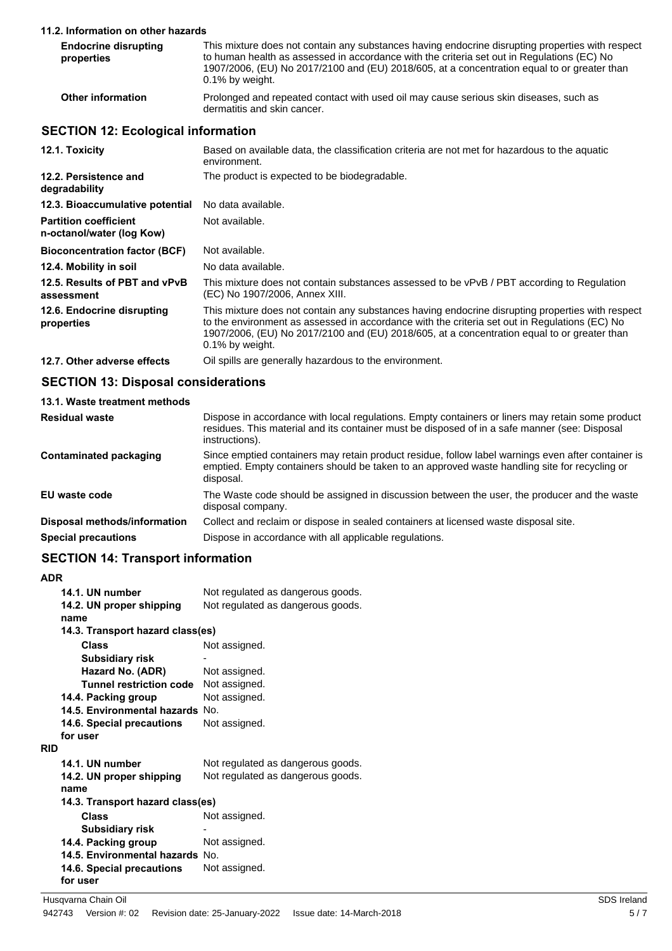#### **11.2. Information on other hazards**

| <b>Endocrine disrupting</b><br>properties | This mixture does not contain any substances having endocrine disrupting properties with respect<br>to human health as assessed in accordance with the criteria set out in Regulations (EC) No<br>1907/2006, (EU) No 2017/2100 and (EU) 2018/605, at a concentration equal to or greater than<br>0.1% by weight. |
|-------------------------------------------|------------------------------------------------------------------------------------------------------------------------------------------------------------------------------------------------------------------------------------------------------------------------------------------------------------------|
| <b>Other information</b>                  | Prolonged and repeated contact with used oil may cause serious skin diseases, such as<br>dermatitis and skin cancer.                                                                                                                                                                                             |

# **SECTION 12: Ecological information**

| 12.1. Toxicity                                            | Based on available data, the classification criteria are not met for hazardous to the aguatic<br>environment.                                                                                                                                                                                                          |
|-----------------------------------------------------------|------------------------------------------------------------------------------------------------------------------------------------------------------------------------------------------------------------------------------------------------------------------------------------------------------------------------|
| 12.2. Persistence and<br>degradability                    | The product is expected to be biodegradable.                                                                                                                                                                                                                                                                           |
| 12.3. Bioaccumulative potential                           | No data available.                                                                                                                                                                                                                                                                                                     |
| <b>Partition coefficient</b><br>n-octanol/water (log Kow) | Not available.                                                                                                                                                                                                                                                                                                         |
| <b>Bioconcentration factor (BCF)</b>                      | Not available.                                                                                                                                                                                                                                                                                                         |
| 12.4. Mobility in soil                                    | No data available.                                                                                                                                                                                                                                                                                                     |
| 12.5. Results of PBT and vPvB<br>assessment               | This mixture does not contain substances assessed to be vPvB / PBT according to Regulation<br>(EC) No 1907/2006, Annex XIII.                                                                                                                                                                                           |
| 12.6. Endocrine disrupting<br>properties                  | This mixture does not contain any substances having endocrine disrupting properties with respect<br>to the environment as assessed in accordance with the criteria set out in Regulations (EC) No<br>1907/2006, (EU) No 2017/2100 and (EU) 2018/605, at a concentration equal to or greater than<br>$0.1\%$ by weight. |
| 12.7. Other adverse effects                               | Oil spills are generally hazardous to the environment.                                                                                                                                                                                                                                                                 |

### **SECTION 13: Disposal considerations**

| Dispose in accordance with local regulations. Empty containers or liners may retain some product<br>residues. This material and its container must be disposed of in a safe manner (see: Disposal<br>instructions). |
|---------------------------------------------------------------------------------------------------------------------------------------------------------------------------------------------------------------------|
| Since emptied containers may retain product residue, follow label warnings even after container is<br>emptied. Empty containers should be taken to an approved waste handling site for recycling or<br>disposal.    |
| The Waste code should be assigned in discussion between the user, the producer and the waste<br>disposal company.                                                                                                   |
| Collect and reclaim or dispose in sealed containers at licensed waste disposal site.                                                                                                                                |
| Dispose in accordance with all applicable regulations.                                                                                                                                                              |
|                                                                                                                                                                                                                     |

# **SECTION 14: Transport information**

| <b>ADR</b> |                                  |                                   |  |
|------------|----------------------------------|-----------------------------------|--|
|            | 14.1. UN number                  | Not regulated as dangerous goods. |  |
|            | 14.2. UN proper shipping         | Not regulated as dangerous goods. |  |
|            | name                             |                                   |  |
|            | 14.3. Transport hazard class(es) |                                   |  |
|            | Class                            | Not assigned.                     |  |
|            | Subsidiary risk                  |                                   |  |
|            | Hazard No. (ADR)                 | Not assigned.                     |  |
|            | Tunnel restriction code          | Not assigned.                     |  |
|            | 14.4. Packing group              | Not assigned.                     |  |
|            | 14.5. Environmental hazards No.  |                                   |  |
|            | 14.6. Special precautions        | Not assigned.                     |  |
|            | for user                         |                                   |  |
| <b>RID</b> |                                  |                                   |  |
|            | 14.1. UN number                  | Not regulated as dangerous goods. |  |
|            | 14.2. UN proper shipping         | Not regulated as dangerous goods. |  |
|            | name                             |                                   |  |
|            | 14.3. Transport hazard class(es) |                                   |  |
|            | Class                            | Not assigned.                     |  |
|            | <b>Subsidiary risk</b>           |                                   |  |
|            | 14.4. Packing group              | Not assigned.                     |  |
|            | 14.5. Environmental hazards No.  |                                   |  |
|            | 14.6. Special precautions        | Not assigned.                     |  |
|            | for user                         |                                   |  |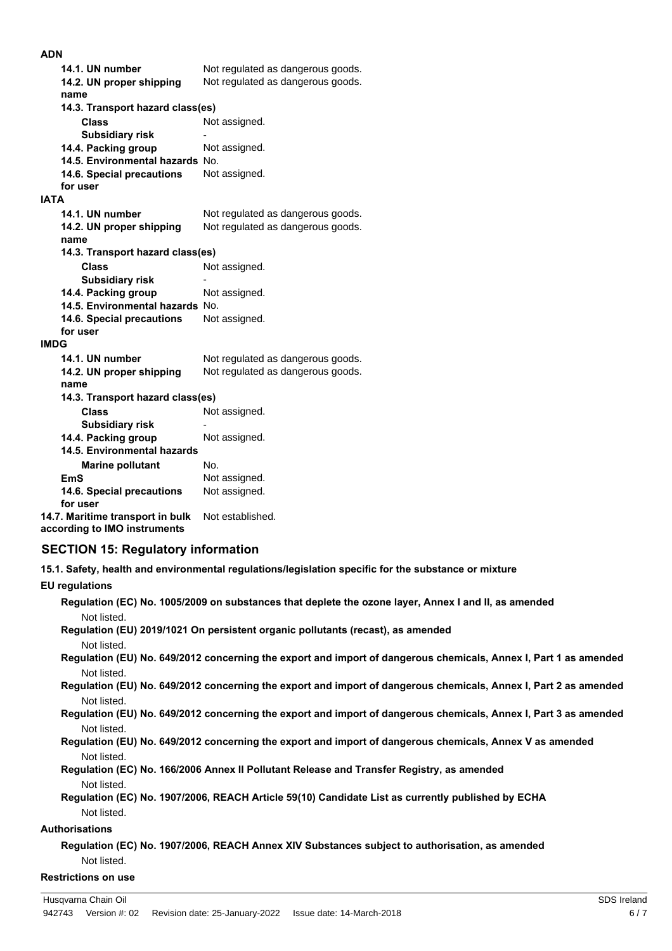#### **ADN**

| 14.1. UN number                  | Not regulated as dangerous goods. |  |  |
|----------------------------------|-----------------------------------|--|--|
| 14.2. UN proper shipping         | Not regulated as dangerous goods. |  |  |
| name                             |                                   |  |  |
|                                  | 14.3. Transport hazard class(es)  |  |  |
| Class                            | Not assigned.                     |  |  |
| <b>Subsidiary risk</b>           |                                   |  |  |
| 14.4. Packing group              | Not assigned.                     |  |  |
| 14.5. Environmental hazards No.  |                                   |  |  |
| 14.6. Special precautions        | Not assigned.                     |  |  |
| for user                         |                                   |  |  |
| <b>IATA</b>                      |                                   |  |  |
| 14.1. UN number                  | Not regulated as dangerous goods. |  |  |
| 14.2. UN proper shipping         | Not regulated as dangerous goods. |  |  |
| name                             |                                   |  |  |
| 14.3. Transport hazard class(es) |                                   |  |  |
| <b>Class</b>                     | Not assigned.                     |  |  |
| <b>Subsidiary risk</b>           |                                   |  |  |
| 14.4. Packing group              | Not assigned.                     |  |  |
| 14.5. Environmental hazards No.  |                                   |  |  |
| 14.6. Special precautions        | Not assigned.                     |  |  |
| for user                         |                                   |  |  |
| IMDG                             |                                   |  |  |
| 14.1. UN number                  | Not regulated as dangerous goods. |  |  |
| 14.2. UN proper shipping         | Not regulated as dangerous goods. |  |  |
| name                             |                                   |  |  |
| 14.3. Transport hazard class(es) |                                   |  |  |
| <b>Class</b>                     | Not assigned.                     |  |  |
| <b>Subsidiary risk</b>           |                                   |  |  |
| 14.4. Packing group              | Not assigned.                     |  |  |
| 14.5. Environmental hazards      |                                   |  |  |
| <b>Marine pollutant</b>          | No.                               |  |  |
| <b>EmS</b>                       | Not assigned.                     |  |  |
| 14.6. Special precautions        | Not assigned.                     |  |  |
| for user                         |                                   |  |  |
| 14.7. Maritime transport in bulk | Not established.                  |  |  |

**according to IMO instruments**

## **SECTION 15: Regulatory information**

**15.1. Safety, health and environmental regulations/legislation specific for the substance or mixture**

# **EU regulations**

| Regulation (EC) No. 1005/2009 on substances that deplete the ozone layer, Annex I and II, as amended<br>Not listed. |
|---------------------------------------------------------------------------------------------------------------------|
| Regulation (EU) 2019/1021 On persistent organic pollutants (recast), as amended                                     |
| Not listed.                                                                                                         |
| Regulation (EU) No. 649/2012 concerning the export and import of dangerous chemicals, Annex I, Part 1 as amended    |
| Not listed.                                                                                                         |
| Regulation (EU) No. 649/2012 concerning the export and import of dangerous chemicals, Annex I, Part 2 as amended    |
| Not listed.                                                                                                         |
| Regulation (EU) No. 649/2012 concerning the export and import of dangerous chemicals, Annex I, Part 3 as amended    |
| Not listed.                                                                                                         |
| Regulation (EU) No. 649/2012 concerning the export and import of dangerous chemicals, Annex V as amended            |
| Not listed.                                                                                                         |
| Regulation (EC) No. 166/2006 Annex II Pollutant Release and Transfer Registry, as amended                           |
| Not listed.                                                                                                         |
| Regulation (EC) No. 1907/2006, REACH Article 59(10) Candidate List as currently published by ECHA                   |
| Not listed.                                                                                                         |
| <b>Authorisations</b>                                                                                               |
| Regulation (EC) No. 1907/2006, REACH Annex XIV Substances subject to authorisation, as amended                      |
| Not listed.                                                                                                         |
| <b>Restrictions on use</b>                                                                                          |